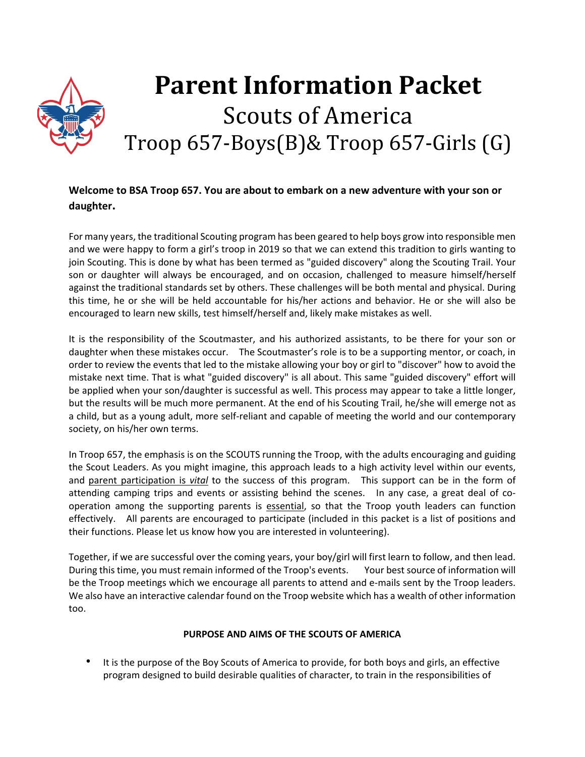# **Parent Information Packet** Scouts of America Troop 657-Boys(B)& Troop 657-Girls (G)

# **Welcome to BSA Troop 657. You are about to embark on a new adventure with your son or daughter.**

For many years, the traditional Scouting program has been geared to help boys grow into responsible men and we were happy to form a girl's troop in 2019 so that we can extend this tradition to girls wanting to join Scouting. This is done by what has been termed as "guided discovery" along the Scouting Trail. Your son or daughter will always be encouraged, and on occasion, challenged to measure himself/herself against the traditional standards set by others. These challenges will be both mental and physical. During this time, he or she will be held accountable for his/her actions and behavior. He or she will also be encouraged to learn new skills, test himself/herself and, likely make mistakes as well.

It is the responsibility of the Scoutmaster, and his authorized assistants, to be there for your son or daughter when these mistakes occur. The Scoutmaster's role is to be a supporting mentor, or coach, in order to review the events that led to the mistake allowing your boy or girl to "discover" how to avoid the mistake next time. That is what "guided discovery" is all about. This same "guided discovery" effort will be applied when your son/daughter is successful as well. This process may appear to take a little longer, but the results will be much more permanent. At the end of his Scouting Trail, he/she will emerge not as a child, but as a young adult, more self-reliant and capable of meeting the world and our contemporary society, on his/her own terms.

In Troop 657, the emphasis is on the SCOUTS running the Troop, with the adults encouraging and guiding the Scout Leaders. As you might imagine, this approach leads to a high activity level within our events, and parent participation is *vital* to the success of this program. This support can be in the form of attending camping trips and events or assisting behind the scenes. In any case, a great deal of cooperation among the supporting parents is essential, so that the Troop youth leaders can function effectively. All parents are encouraged to participate (included in this packet is a list of positions and their functions. Please let us know how you are interested in volunteering).

Together, if we are successful over the coming years, your boy/girl will first learn to follow, and then lead. During this time, you must remain informed of the Troop's events. Your best source of information will be the Troop meetings which we encourage all parents to attend and e-mails sent by the Troop leaders. We also have an interactive calendar found on the Troop website which has a wealth of other information too.

# **PURPOSE AND AIMS OF THE SCOUTS OF AMERICA**

It is the purpose of the Boy Scouts of America to provide, for both boys and girls, an effective program designed to build desirable qualities of character, to train in the responsibilities of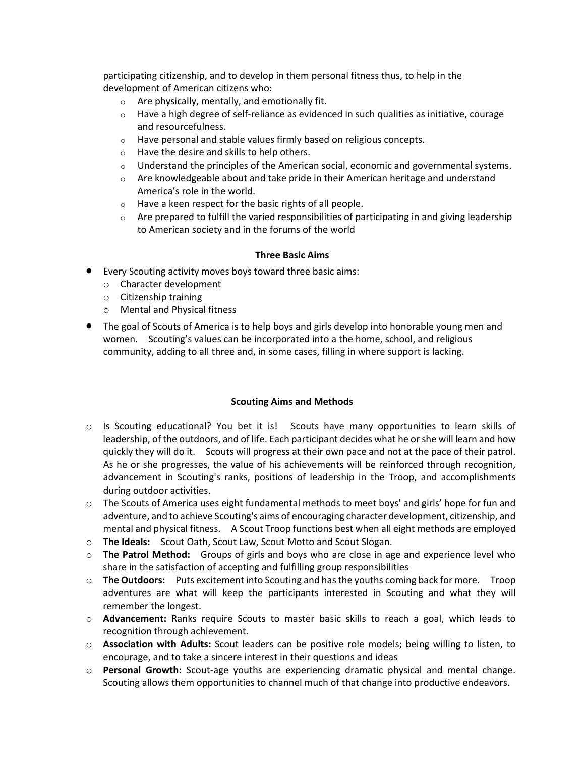participating citizenship, and to develop in them personal fitness thus, to help in the development of American citizens who:

- o Are physically, mentally, and emotionally fit.
- $\circ$  Have a high degree of self-reliance as evidenced in such qualities as initiative, courage and resourcefulness.
- $\circ$  Have personal and stable values firmly based on religious concepts.
- o Have the desire and skills to help others.
- $\circ$  Understand the principles of the American social, economic and governmental systems.
- $\circ$  Are knowledgeable about and take pride in their American heritage and understand America's role in the world.
- o Have a keen respect for the basic rights of all people.
- $\circ$  Are prepared to fulfill the varied responsibilities of participating in and giving leadership to American society and in the forums of the world

#### **Three Basic Aims**

- Every Scouting activity moves boys toward three basic aims:
	- o Character development
	- o Citizenship training
	- o Mental and Physical fitness
- The goal of Scouts of America is to help boys and girls develop into honorable young men and women. Scouting's values can be incorporated into a the home, school, and religious community, adding to all three and, in some cases, filling in where support is lacking.

#### **Scouting Aims and Methods**

- o Is Scouting educational? You bet it is! Scouts have many opportunities to learn skills of leadership, of the outdoors, and of life. Each participant decides what he or she will learn and how quickly they will do it. Scouts will progress at their own pace and not at the pace of their patrol. As he or she progresses, the value of his achievements will be reinforced through recognition, advancement in Scouting's ranks, positions of leadership in the Troop, and accomplishments during outdoor activities.
- $\circ$  The Scouts of America uses eight fundamental methods to meet boys' and girls' hope for fun and adventure, and to achieve Scouting's aims of encouraging character development, citizenship, and mental and physical fitness. A Scout Troop functions best when all eight methods are employed
- o **The Ideals:** Scout Oath, Scout Law, Scout Motto and Scout Slogan.
- o **The Patrol Method:** Groups of girls and boys who are close in age and experience level who share in the satisfaction of accepting and fulfilling group responsibilities
- o **The Outdoors:** Puts excitement into Scouting and has the youths coming back for more. Troop adventures are what will keep the participants interested in Scouting and what they will remember the longest.
- o **Advancement:** Ranks require Scouts to master basic skills to reach a goal, which leads to recognition through achievement.
- o **Association with Adults:** Scout leaders can be positive role models; being willing to listen, to encourage, and to take a sincere interest in their questions and ideas
- o **Personal Growth:** Scout-age youths are experiencing dramatic physical and mental change. Scouting allows them opportunities to channel much of that change into productive endeavors.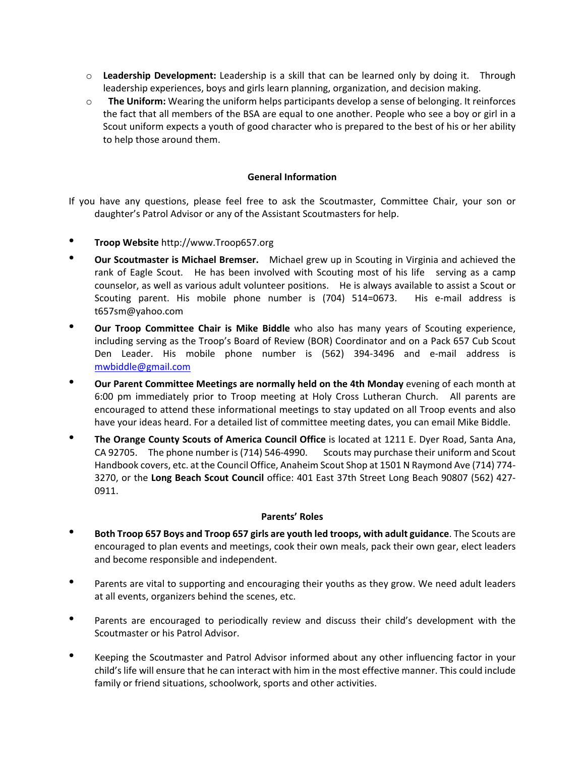- o **Leadership Development:** Leadership is a skill that can be learned only by doing it. Through leadership experiences, boys and girls learn planning, organization, and decision making.
- o **The Uniform:** Wearing the uniform helps participants develop a sense of belonging. It reinforces the fact that all members of the BSA are equal to one another. People who see a boy or girl in a Scout uniform expects a youth of good character who is prepared to the best of his or her ability to help those around them.

#### **General Information**

If you have any questions, please feel free to ask the Scoutmaster, Committee Chair, your son or daughter's Patrol Advisor or any of the Assistant Scoutmasters for help.

- **Troop Website** http://www.Troop657.org
- **Our Scoutmaster is Michael Bremser.** Michael grew up in Scouting in Virginia and achieved the rank of Eagle Scout. He has been involved with Scouting most of his life serving as a camp counselor, as well as various adult volunteer positions. He is always available to assist a Scout or Scouting parent. His mobile phone number is (704) 514=0673. His e-mail address is t657sm@yahoo.com
- **Our Troop Committee Chair is Mike Biddle** who also has many years of Scouting experience, including serving as the Troop's Board of Review (BOR) Coordinator and on a Pack 657 Cub Scout Den Leader. His mobile phone number is (562) 394-3496 and e-mail address is [mwbiddle@gmail.com](mailto:mwbiddle@gmail.com)
- <sup>•</sup> Our Parent Committee Meetings are normally held on the 4th Monday evening of each month at 6:00 pm immediately prior to Troop meeting at Holy Cross Lutheran Church. All parents are encouraged to attend these informational meetings to stay updated on all Troop events and also have your ideas heard. For a detailed list of committee meeting dates, you can email Mike Biddle.
- **The Orange County Scouts of America Council Office** is located at 1211 E. Dyer Road, Santa Ana, CA 92705. The phone number is (714) 546-4990. Scouts may purchase their uniform and Scout Handbook covers, etc. at the Council Office, Anaheim Scout Shop at 1501 N Raymond Ave (714) 774- 3270, or the **Long Beach Scout Council** office: 401 East 37th Street Long Beach 90807 (562) 427- 0911.

#### **Parents' Roles**

- **Both Troop 657 Boys and Troop 657 girls are youth led troops, with adult guidance**. The Scouts are encouraged to plan events and meetings, cook their own meals, pack their own gear, elect leaders and become responsible and independent.
- Parents are vital to supporting and encouraging their youths as they grow. We need adult leaders at all events, organizers behind the scenes, etc.
- Parents are encouraged to periodically review and discuss their child's development with the Scoutmaster or his Patrol Advisor.
- Keeping the Scoutmaster and Patrol Advisor informed about any other influencing factor in your child's life will ensure that he can interact with him in the most effective manner. This could include family or friend situations, schoolwork, sports and other activities.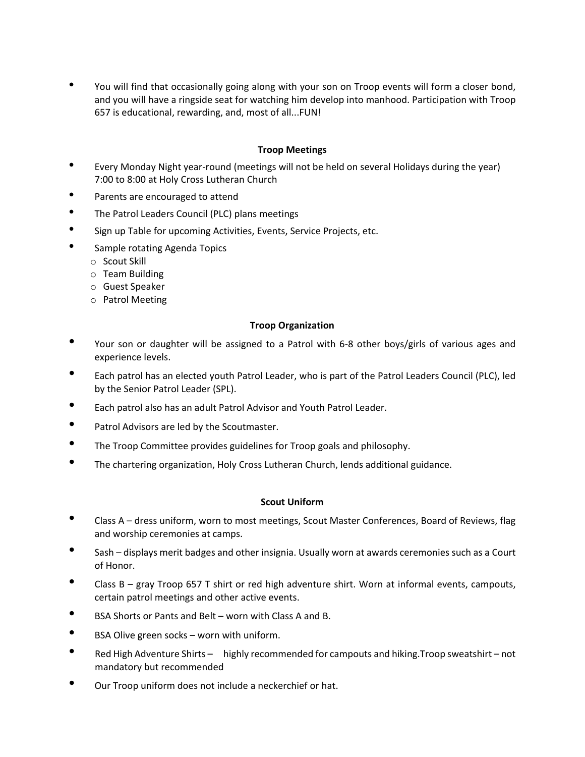• You will find that occasionally going along with your son on Troop events will form a closer bond, and you will have a ringside seat for watching him develop into manhood. Participation with Troop 657 is educational, rewarding, and, most of all...FUN!

## **Troop Meetings**

- Every Monday Night year-round (meetings will not be held on several Holidays during the year) 7:00 to 8:00 at Holy Cross Lutheran Church
- Parents are encouraged to attend
- The Patrol Leaders Council (PLC) plans meetings
- Sign up Table for upcoming Activities, Events, Service Projects, etc.
- Sample rotating Agenda Topics
	- o Scout Skill
	- o Team Building
	- o Guest Speaker
	- o Patrol Meeting

#### **Troop Organization**

- Your son or daughter will be assigned to a Patrol with 6-8 other boys/girls of various ages and experience levels.
- Each patrol has an elected youth Patrol Leader, who is part of the Patrol Leaders Council (PLC), led by the Senior Patrol Leader (SPL).
- Each patrol also has an adult Patrol Advisor and Youth Patrol Leader.
- Patrol Advisors are led by the Scoutmaster.
- The Troop Committee provides guidelines for Troop goals and philosophy.
- The chartering organization, Holy Cross Lutheran Church, lends additional guidance.

#### **Scout Uniform**

- Class A dress uniform, worn to most meetings, Scout Master Conferences, Board of Reviews, flag and worship ceremonies at camps.
- Sash displays merit badges and other insignia. Usually worn at awards ceremonies such as a Court of Honor.
- Class B gray Troop 657 T shirt or red high adventure shirt. Worn at informal events, campouts, certain patrol meetings and other active events.
- BSA Shorts or Pants and Belt worn with Class A and B.
- BSA Olive green socks worn with uniform.
- Red High Adventure Shirts highly recommended for campouts and hiking.Troop sweatshirt not mandatory but recommended
- Our Troop uniform does not include a neckerchief or hat.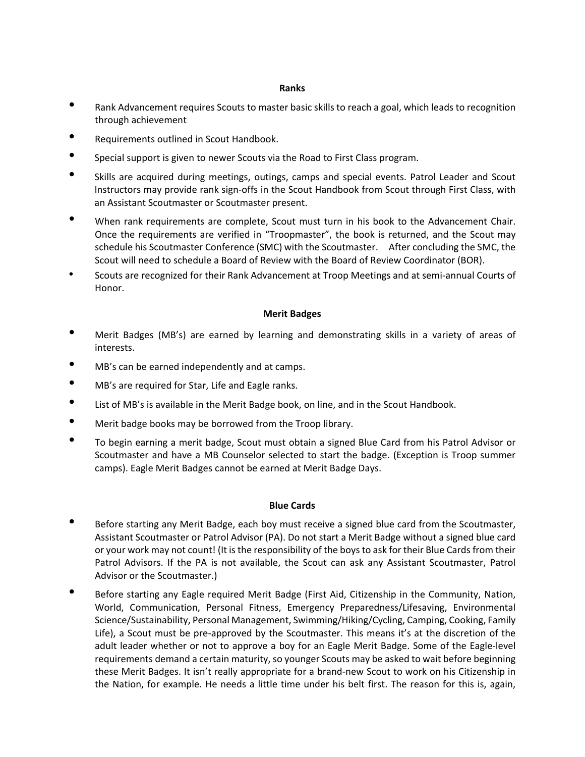#### **Ranks**

- Rank Advancement requires Scouts to master basic skills to reach a goal, which leads to recognition through achievement
- Requirements outlined in Scout Handbook.
- Special support is given to newer Scouts via the Road to First Class program.
- Skills are acquired during meetings, outings, camps and special events. Patrol Leader and Scout Instructors may provide rank sign-offs in the Scout Handbook from Scout through First Class, with an Assistant Scoutmaster or Scoutmaster present.
- When rank requirements are complete, Scout must turn in his book to the Advancement Chair. Once the requirements are verified in "Troopmaster", the book is returned, and the Scout may schedule his Scoutmaster Conference (SMC) with the Scoutmaster. After concluding the SMC, the Scout will need to schedule a Board of Review with the Board of Review Coordinator (BOR).
- Scouts are recognized for their Rank Advancement at Troop Meetings and at semi-annual Courts of Honor.

#### **Merit Badges**

- Merit Badges (MB's) are earned by learning and demonstrating skills in a variety of areas of interests.
- MB's can be earned independently and at camps.
- MB's are required for Star, Life and Eagle ranks.
- List of MB's is available in the Merit Badge book, on line, and in the Scout Handbook.
- Merit badge books may be borrowed from the Troop library.
- To begin earning a merit badge, Scout must obtain a signed Blue Card from his Patrol Advisor or Scoutmaster and have a MB Counselor selected to start the badge. (Exception is Troop summer camps). Eagle Merit Badges cannot be earned at Merit Badge Days.

#### **Blue Cards**

- Before starting any Merit Badge, each boy must receive a signed blue card from the Scoutmaster, Assistant Scoutmaster or Patrol Advisor (PA). Do not start a Merit Badge without a signed blue card or your work may not count! (It is the responsibility of the boys to ask for their Blue Cards from their Patrol Advisors. If the PA is not available, the Scout can ask any Assistant Scoutmaster, Patrol Advisor or the Scoutmaster.)
- Before starting any Eagle required Merit Badge (First Aid, Citizenship in the Community, Nation, World, Communication, Personal Fitness, Emergency Preparedness/Lifesaving, Environmental Science/Sustainability, Personal Management, Swimming/Hiking/Cycling, Camping, Cooking, Family Life), a Scout must be pre-approved by the Scoutmaster. This means it's at the discretion of the adult leader whether or not to approve a boy for an Eagle Merit Badge. Some of the Eagle-level requirements demand a certain maturity, so younger Scouts may be asked to wait before beginning these Merit Badges. It isn't really appropriate for a brand-new Scout to work on his Citizenship in the Nation, for example. He needs a little time under his belt first. The reason for this is, again,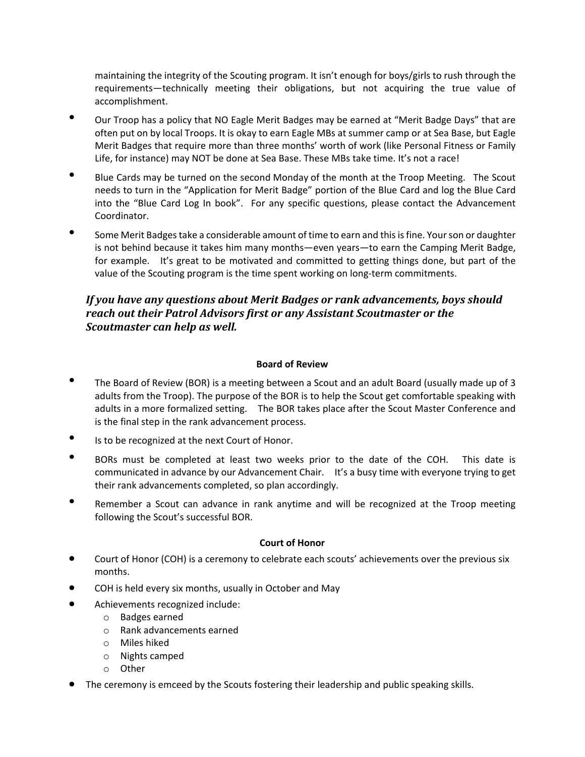maintaining the integrity of the Scouting program. It isn't enough for boys/girls to rush through the requirements—technically meeting their obligations, but not acquiring the true value of accomplishment.

- Our Troop has a policy that NO Eagle Merit Badges may be earned at "Merit Badge Days" that are often put on by local Troops. It is okay to earn Eagle MBs at summer camp or at Sea Base, but Eagle Merit Badges that require more than three months' worth of work (like Personal Fitness or Family Life, for instance) may NOT be done at Sea Base. These MBs take time. It's not a race!
- Blue Cards may be turned on the second Monday of the month at the Troop Meeting. The Scout needs to turn in the "Application for Merit Badge" portion of the Blue Card and log the Blue Card into the "Blue Card Log In book". For any specific questions, please contact the Advancement Coordinator.
- Some Merit Badges take a considerable amount of time to earn and this is fine. Your son or daughter is not behind because it takes him many months—even years—to earn the Camping Merit Badge, for example. It's great to be motivated and committed to getting things done, but part of the value of the Scouting program is the time spent working on long-term commitments.

# *If you have any questions about Merit Badges or rank advancements, boys should reach out their Patrol Advisors first or any Assistant Scoutmaster or the Scoutmaster can help as well.*

# **Board of Review**

- The Board of Review (BOR) is a meeting between a Scout and an adult Board (usually made up of 3 adults from the Troop). The purpose of the BOR is to help the Scout get comfortable speaking with adults in a more formalized setting. The BOR takes place after the Scout Master Conference and is the final step in the rank advancement process.
- Is to be recognized at the next Court of Honor.
- BORs must be completed at least two weeks prior to the date of the COH. This date is communicated in advance by our Advancement Chair. It's a busy time with everyone trying to get their rank advancements completed, so plan accordingly.
- Remember a Scout can advance in rank anytime and will be recognized at the Troop meeting following the Scout's successful BOR.

#### **Court of Honor**

- Court of Honor (COH) is a ceremony to celebrate each scouts' achievements over the previous six months.
- COH is held every six months, usually in October and May
- Achievements recognized include:
	- o Badges earned
	- o Rank advancements earned
	- o Miles hiked
	- o Nights camped
	- o Other
- The ceremony is emceed by the Scouts fostering their leadership and public speaking skills.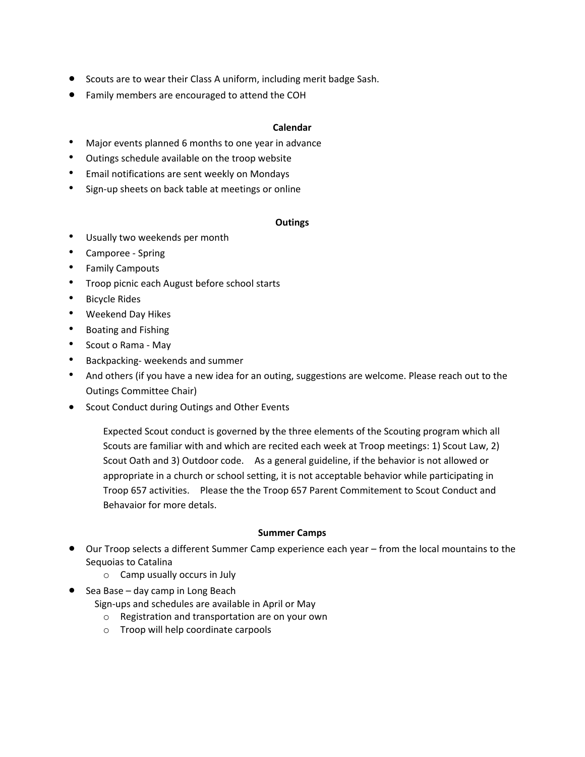- Scouts are to wear their Class A uniform, including merit badge Sash.
- Family members are encouraged to attend the COH

#### **Calendar**

- Major events planned 6 months to one year in advance
- Outings schedule available on the troop website
- Email notifications are sent weekly on Mondays
- Sign-up sheets on back table at meetings or online

#### **Outings**

- Usually two weekends per month
- Camporee Spring
- Family Campouts
- Troop picnic each August before school starts
- Bicycle Rides
- Weekend Day Hikes
- Boating and Fishing
- Scout o Rama May
- Backpacking- weekends and summer
- And others (if you have a new idea for an outing, suggestions are welcome. Please reach out to the Outings Committee Chair)
- Scout Conduct during Outings and Other Events

Expected Scout conduct is governed by the three elements of the Scouting program which all Scouts are familiar with and which are recited each week at Troop meetings: 1) Scout Law, 2) Scout Oath and 3) Outdoor code. As a general guideline, if the behavior is not allowed or appropriate in a church or school setting, it is not acceptable behavior while participating in Troop 657 activities. Please the the Troop 657 Parent Commitement to Scout Conduct and Behavaior for more detals.

#### **Summer Camps**

- Our Troop selects a different Summer Camp experience each year from the local mountains to the Sequoias to Catalina
	- o Camp usually occurs in July
- Sea Base day camp in Long Beach

Sign-ups and schedules are available in April or May

- o Registration and transportation are on your own
- o Troop will help coordinate carpools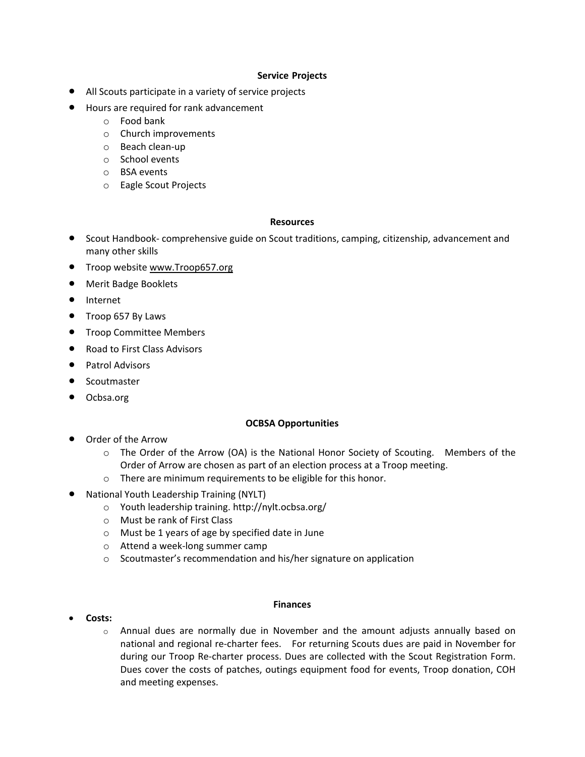#### **Service Projects**

- All Scouts participate in a variety of service projects
- Hours are required for rank advancement
	- o Food bank
	- o Church improvements
	- o Beach clean-up
	- o School events
	- o BSA events
	- o Eagle Scout Projects

#### **Resources**

- Scout Handbook- comprehensive guide on Scout traditions, camping, citizenship, advancement and many other skills
- Troop website www.Troop657.org
- Merit Badge Booklets
- Internet
- Troop 657 By Laws
- **•** Troop Committee Members
- Road to First Class Advisors
- Patrol Advisors
- Scoutmaster
- Ocbsa.org

#### **OCBSA Opportunities**

- Order of the Arrow
	- o The Order of the Arrow (OA) is the National Honor Society of Scouting. Members of the Order of Arrow are chosen as part of an election process at a Troop meeting.
	- o There are minimum requirements to be eligible for this honor.
- National Youth Leadership Training (NYLT)
	- o Youth leadership training. http://nylt.ocbsa.org/
	- o Must be rank of First Class
	- o Must be 1 years of age by specified date in June
	- o Attend a week-long summer camp
	- o Scoutmaster's recommendation and his/her signature on application

#### • **Costs:**

#### **Finances**

o Annual dues are normally due in November and the amount adjusts annually based on national and regional re-charter fees. For returning Scouts dues are paid in November for during our Troop Re-charter process. Dues are collected with the Scout Registration Form. Dues cover the costs of patches, outings equipment food for events, Troop donation, COH and meeting expenses.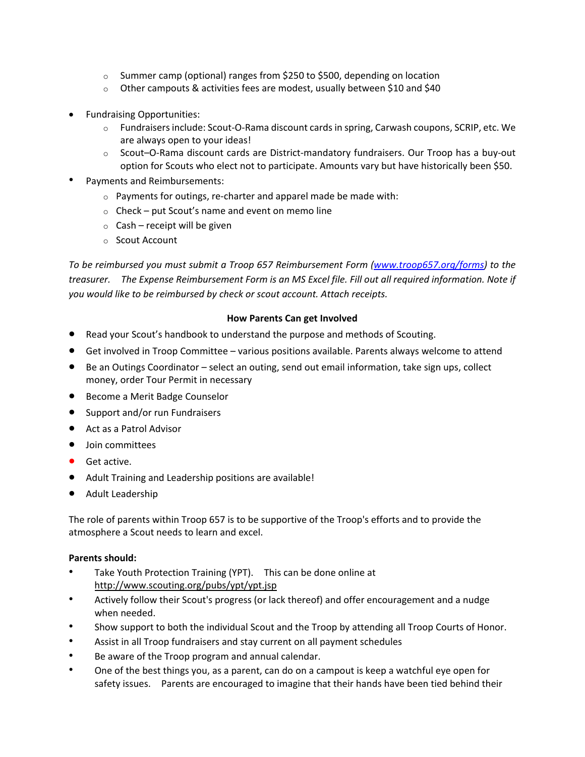- $\circ$  Summer camp (optional) ranges from \$250 to \$500, depending on location
- o Other campouts & activities fees are modest, usually between \$10 and \$40
- Fundraising Opportunities:
	- $\circ$  Fundraisers include: Scout-O-Rama discount cards in spring, Carwash coupons, SCRIP, etc. We are always open to your ideas!
	- o Scout–O-Rama discount cards are District-mandatory fundraisers. Our Troop has a buy-out option for Scouts who elect not to participate. Amounts vary but have historically been \$50.
- Payments and Reimbursements:
	- o Payments for outings, re-charter and apparel made be made with:
	- $\circ$  Check put Scout's name and event on memo line
	- $\circ$  Cash receipt will be given
	- o Scout Account

*To be reimbursed you must submit a Troop 657 Reimbursement Form [\(www.troop657.org/forms\)](http://www.troop657.org/forms) to the treasurer. The Expense Reimbursement Form is an MS Excel file. Fill out all required information. Note if you would like to be reimbursed by check or scout account. Attach receipts.*

#### **How Parents Can get Involved**

- Read your Scout's handbook to understand the purpose and methods of Scouting.
- Get involved in Troop Committee various positions available. Parents always welcome to attend
- Be an Outings Coordinator select an outing, send out email information, take sign ups, collect money, order Tour Permit in necessary
- Become a Merit Badge Counselor
- Support and/or run Fundraisers
- Act as a Patrol Advisor
- Join committees
- Get active.
- Adult Training and Leadership positions are available!
- Adult Leadership

The role of parents within Troop 657 is to be supportive of the Troop's efforts and to provide the atmosphere a Scout needs to learn and excel.

#### **Parents should:**

- Take Youth Protection Training (YPT). This can be done online at http://www.scouting.org/pubs/ypt/ypt.jsp
- Actively follow their Scout's progress (or lack thereof) and offer encouragement and a nudge when needed.
- Show support to both the individual Scout and the Troop by attending all Troop Courts of Honor.
- Assist in all Troop fundraisers and stay current on all payment schedules
- Be aware of the Troop program and annual calendar.
- One of the best things you, as a parent, can do on a campout is keep a watchful eye open for safety issues. Parents are encouraged to imagine that their hands have been tied behind their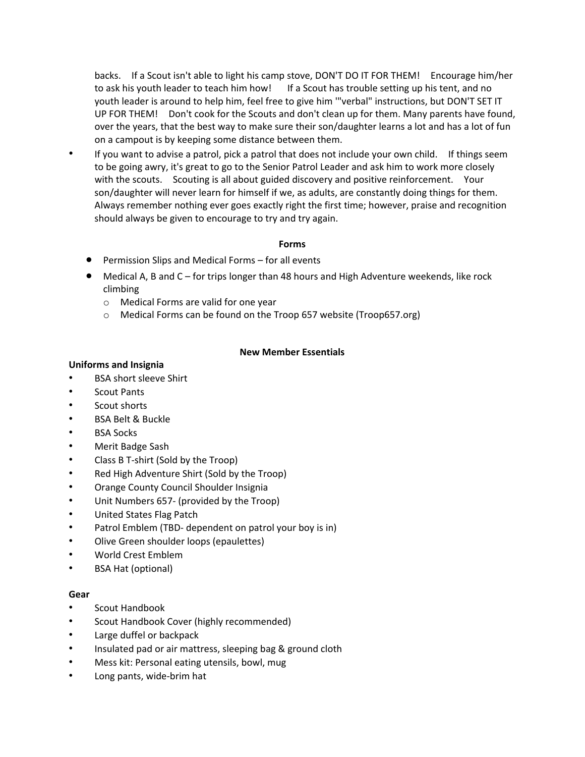backs. If a Scout isn't able to light his camp stove, DON'T DO IT FOR THEM! Encourage him/her to ask his youth leader to teach him how! If a Scout has trouble setting up his tent, and no youth leader is around to help him, feel free to give him '"verbal" instructions, but DON'T SET IT UP FOR THEM! Don't cook for the Scouts and don't clean up for them. Many parents have found, over the years, that the best way to make sure their son/daughter learns a lot and has a lot of fun on a campout is by keeping some distance between them.

If you want to advise a patrol, pick a patrol that does not include your own child. If things seem to be going awry, it's great to go to the Senior Patrol Leader and ask him to work more closely with the scouts. Scouting is all about guided discovery and positive reinforcement. Your son/daughter will never learn for himself if we, as adults, are constantly doing things for them. Always remember nothing ever goes exactly right the first time; however, praise and recognition should always be given to encourage to try and try again.

#### **Forms**

- Permission Slips and Medical Forms for all events
- Medical A, B and C for trips longer than 48 hours and High Adventure weekends, like rock climbing
	- o Medical Forms are valid for one year
	- o Medical Forms can be found on the Troop 657 website (Troop657.org)

# **New Member Essentials**

#### **Uniforms and Insignia**

- BSA short sleeve Shirt
- Scout Pants
- Scout shorts
- BSA Belt & Buckle
- **BSA Socks**
- Merit Badge Sash
- Class B T-shirt (Sold by the Troop)
- Red High Adventure Shirt (Sold by the Troop)
- Orange County Council Shoulder Insignia
- Unit Numbers 657- (provided by the Troop)
- United States Flag Patch
- Patrol Emblem (TBD- dependent on patrol your boy is in)
- Olive Green shoulder loops (epaulettes)
- World Crest Emblem
- BSA Hat (optional)

#### **Gear**

- Scout Handbook
- Scout Handbook Cover (highly recommended)
- Large duffel or backpack
- Insulated pad or air mattress, sleeping bag & ground cloth
- Mess kit: Personal eating utensils, bowl, mug
- Long pants, wide-brim hat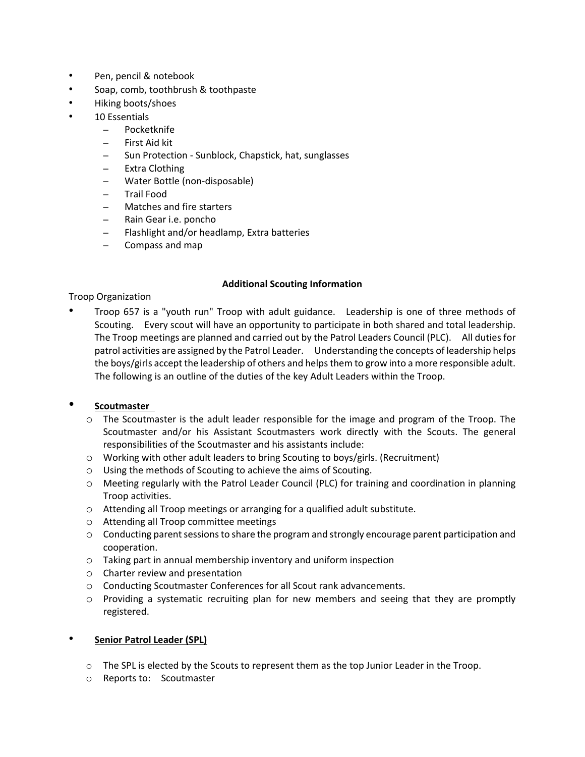- Pen, pencil & notebook
- Soap, comb, toothbrush & toothpaste
- Hiking boots/shoes
- 10 Essentials
	- Pocketknife
	- First Aid kit
	- Sun Protection Sunblock, Chapstick, hat, sunglasses
	- Extra Clothing
	- Water Bottle (non-disposable)
	- Trail Food
	- Matches and fire starters
	- Rain Gear i.e. poncho
	- Flashlight and/or headlamp, Extra batteries
	- Compass and map

#### **Additional Scouting Information**

Troop Organization

• Troop 657 is a "youth run" Troop with adult guidance. Leadership is one of three methods of Scouting. Every scout will have an opportunity to participate in both shared and total leadership. The Troop meetings are planned and carried out by the Patrol Leaders Council (PLC). All duties for patrol activities are assigned by the Patrol Leader. Understanding the concepts of leadership helps the boys/girls accept the leadership of others and helps them to grow into a more responsible adult. The following is an outline of the duties of the key Adult Leaders within the Troop.

#### • **Scoutmaster**

- $\circ$  The Scoutmaster is the adult leader responsible for the image and program of the Troop. The Scoutmaster and/or his Assistant Scoutmasters work directly with the Scouts. The general responsibilities of the Scoutmaster and his assistants include:
- o Working with other adult leaders to bring Scouting to boys/girls. (Recruitment)
- o Using the methods of Scouting to achieve the aims of Scouting.
- o Meeting regularly with the Patrol Leader Council (PLC) for training and coordination in planning Troop activities.
- o Attending all Troop meetings or arranging for a qualified adult substitute.
- o Attending all Troop committee meetings
- $\circ$  Conducting parent sessions to share the program and strongly encourage parent participation and cooperation.
- o Taking part in annual membership inventory and uniform inspection
- o Charter review and presentation
- o Conducting Scoutmaster Conferences for all Scout rank advancements.
- o Providing a systematic recruiting plan for new members and seeing that they are promptly registered.

#### • **Senior Patrol Leader (SPL)**

- $\circ$  The SPL is elected by the Scouts to represent them as the top Junior Leader in the Troop.
- o Reports to: Scoutmaster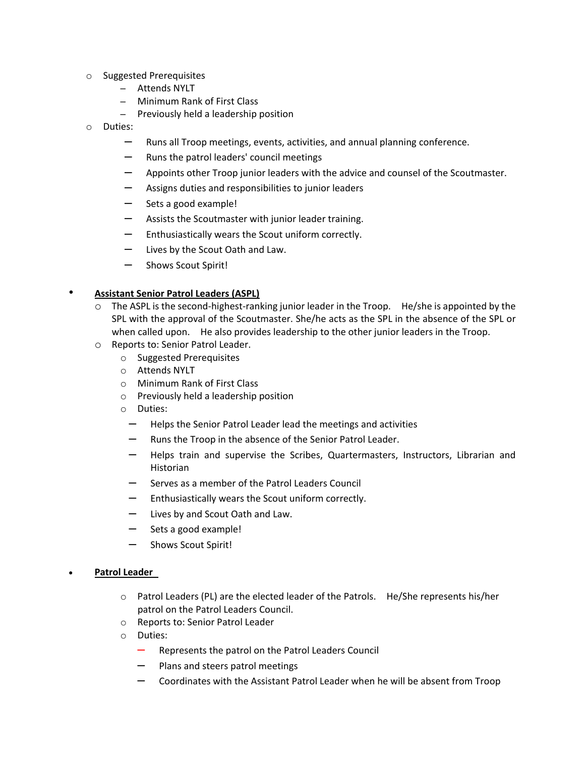- o Suggested Prerequisites
	- Attends NYLT
	- Minimum Rank of First Class
	- Previously held a leadership position
- o Duties:
	- Runs all Troop meetings, events, activities, and annual planning conference.
	- Runs the patrol leaders' council meetings
	- Appoints other Troop junior leaders with the advice and counsel of the Scoutmaster.
	- Assigns duties and responsibilities to junior leaders
	- Sets a good example!
	- Assists the Scoutmaster with junior leader training.
	- Enthusiastically wears the Scout uniform correctly.
	- Lives by the Scout Oath and Law.
	- Shows Scout Spirit!

#### • **Assistant Senior Patrol Leaders (ASPL)**

- $\circ$  The ASPL is the second-highest-ranking junior leader in the Troop. He/she is appointed by the SPL with the approval of the Scoutmaster. She/he acts as the SPL in the absence of the SPL or when called upon. He also provides leadership to the other junior leaders in the Troop.
- o Reports to: Senior Patrol Leader.
	- o Suggested Prerequisites
	- o Attends NYLT
	- o Minimum Rank of First Class
	- o Previously held a leadership position
	- o Duties:
		- Helps the Senior Patrol Leader lead the meetings and activities
		- Runs the Troop in the absence of the Senior Patrol Leader.
		- Helps train and supervise the Scribes, Quartermasters, Instructors, Librarian and Historian
		- Serves as a member of the Patrol Leaders Council
		- Enthusiastically wears the Scout uniform correctly.
		- Lives by and Scout Oath and Law.
		- Sets a good example!
		- Shows Scout Spirit!

#### • **Patrol Leader**

- o Patrol Leaders (PL) are the elected leader of the Patrols. He/She represents his/her patrol on the Patrol Leaders Council.
- o Reports to: Senior Patrol Leader
- o Duties:
	- Represents the patrol on the Patrol Leaders Council
	- Plans and steers patrol meetings
	- Coordinates with the Assistant Patrol Leader when he will be absent from Troop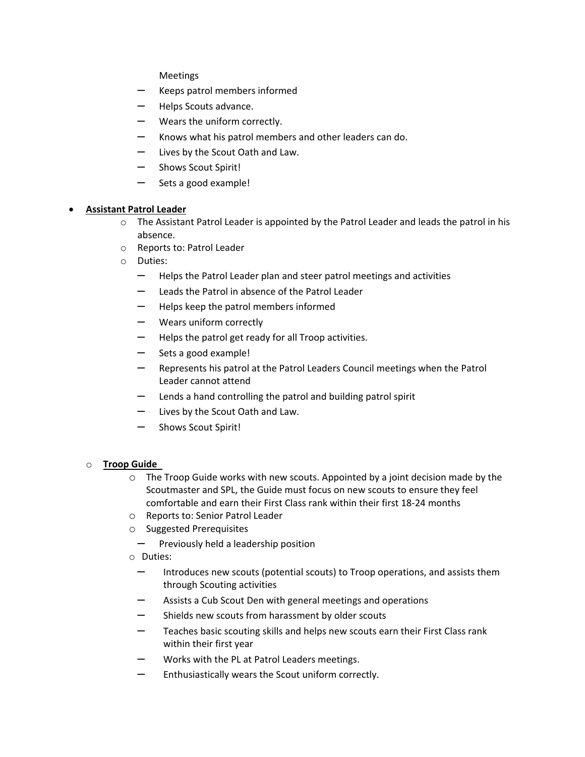Meetings

- Keeps patrol members informed
- Helps Scouts advance.
- Wears the uniform correctly.
- Knows what his patrol members and other leaders can do.
- Lives by the Scout Oath and Law.
- Shows Scout Spirit!
- Sets a good example!

#### • **Assistant Patrol Leader**

- $\circ$  The Assistant Patrol Leader is appointed by the Patrol Leader and leads the patrol in his absence.
- o Reports to: Patrol Leader
- o Duties:
	- Helps the Patrol Leader plan and steer patrol meetings and activities
	- Leads the Patrol in absence of the Patrol Leader
	- Helps keep the patrol members informed
	- Wears uniform correctly
	- Helps the patrol get ready for all Troop activities.
	- Sets a good example!
	- Represents his patrol at the Patrol Leaders Council meetings when the Patrol Leader cannot attend
	- $-$  Lends a hand controlling the patrol and building patrol spirit
	- Lives by the Scout Oath and Law.
	- Shows Scout Spirit!

#### o **Troop Guide**

- o The Troop Guide works with new scouts. Appointed by a joint decision made by the Scoutmaster and SPL, the Guide must focus on new scouts to ensure they feel comfortable and earn their First Class rank within their first 18-24 months
- o Reports to: Senior Patrol Leader
- o Suggested Prerequisites
	- $-$  Previously held a leadership position
- o Duties:
	- Introduces new scouts (potential scouts) to Troop operations, and assists them through Scouting activities
	- Assists a Cub Scout Den with general meetings and operations
	- Shields new scouts from harassment by older scouts
	- Teaches basic scouting skills and helps new scouts earn their First Class rank within their first year
	- Works with the PL at Patrol Leaders meetings.
	- Enthusiastically wears the Scout uniform correctly.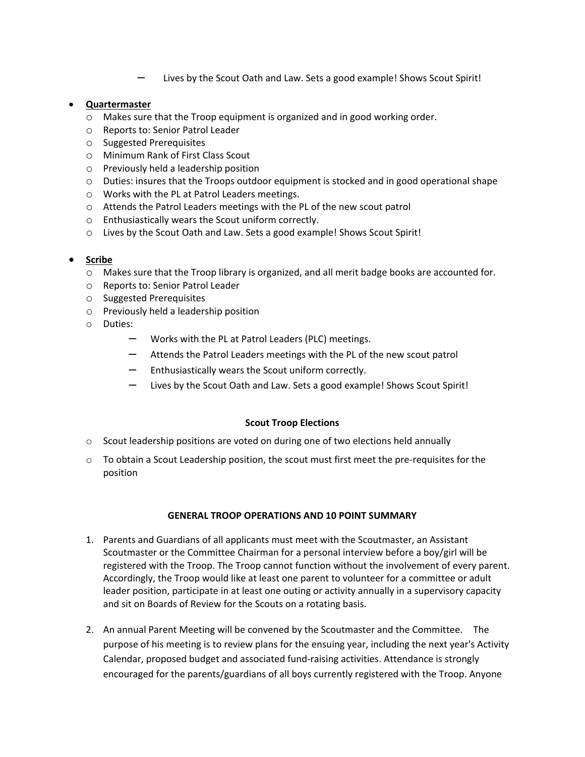– Lives by the Scout Oath and Law. Sets a good example! Shows Scout Spirit!

#### • **Quartermaster**

- o Makes sure that the Troop equipment is organized and in good working order.
- o Reports to: Senior Patrol Leader
- o Suggested Prerequisites
- o Minimum Rank of First Class Scout
- o Previously held a leadership position
- $\circ$  Duties: insures that the Troops outdoor equipment is stocked and in good operational shape
- o Works with the PL at Patrol Leaders meetings.
- o Attends the Patrol Leaders meetings with the PL of the new scout patrol
- o Enthusiastically wears the Scout uniform correctly.
- o Lives by the Scout Oath and Law. Sets a good example! Shows Scout Spirit!

# • **Scribe**

- o Makes sure that the Troop library is organized, and all merit badge books are accounted for.
- o Reports to: Senior Patrol Leader
- o Suggested Prerequisites
- o Previously held a leadership position
- o Duties:
	- Works with the PL at Patrol Leaders (PLC) meetings.
	- Attends the Patrol Leaders meetings with the PL of the new scout patrol
	- Enthusiastically wears the Scout uniform correctly.
	- Lives by the Scout Oath and Law. Sets a good example! Shows Scout Spirit!

#### **Scout Troop Elections**

- $\circ$  Scout leadership positions are voted on during one of two elections held annually
- $\circ$  To obtain a Scout Leadership position, the scout must first meet the pre-requisites for the position

#### **GENERAL TROOP OPERATIONS AND 10 POINT SUMMARY**

- 1. Parents and Guardians of all applicants must meet with the Scoutmaster, an Assistant Scoutmaster or the Committee Chairman for a personal interview before a boy/girl will be registered with the Troop. The Troop cannot function without the involvement of every parent. Accordingly, the Troop would like at least one parent to volunteer for a committee or adult leader position, participate in at least one outing or activity annually in a supervisory capacity and sit on Boards of Review for the Scouts on a rotating basis.
- 2. An annual Parent Meeting will be convened by the Scoutmaster and the Committee. The purpose of his meeting is to review plans for the ensuing year, including the next year's Activity Calendar, proposed budget and associated fund-raising activities. Attendance is strongly encouraged for the parents/guardians of all boys currently registered with the Troop. Anyone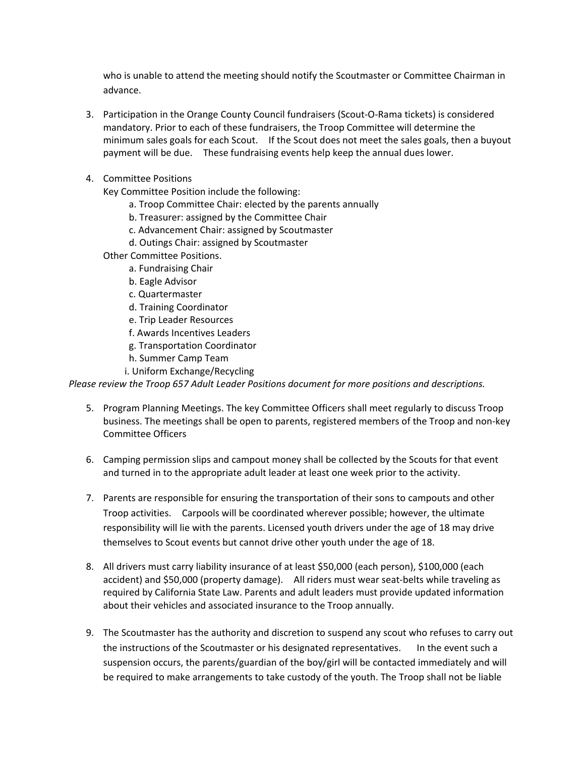who is unable to attend the meeting should notify the Scoutmaster or Committee Chairman in advance.

- 3. Participation in the Orange County Council fundraisers (Scout-O-Rama tickets) is considered mandatory. Prior to each of these fundraisers, the Troop Committee will determine the minimum sales goals for each Scout. If the Scout does not meet the sales goals, then a buyout payment will be due. These fundraising events help keep the annual dues lower.
- 4. Committee Positions

Key Committee Position include the following:

- a. Troop Committee Chair: elected by the parents annually
- b. Treasurer: assigned by the Committee Chair
- c. Advancement Chair: assigned by Scoutmaster
- d. Outings Chair: assigned by Scoutmaster
- Other Committee Positions.
	- a. Fundraising Chair
	- b. Eagle Advisor
	- c. Quartermaster
	- d. Training Coordinator
	- e. Trip Leader Resources
	- f. Awards Incentives Leaders
	- g. Transportation Coordinator
	- h. Summer Camp Team
	- i. Uniform Exchange/Recycling

*Please review the Troop 657 Adult Leader Positions document for more positions and descriptions.*

- 5. Program Planning Meetings. The key Committee Officers shall meet regularly to discuss Troop business. The meetings shall be open to parents, registered members of the Troop and non-key Committee Officers
- 6. Camping permission slips and campout money shall be collected by the Scouts for that event and turned in to the appropriate adult leader at least one week prior to the activity.
- 7. Parents are responsible for ensuring the transportation of their sons to campouts and other Troop activities. Carpools will be coordinated wherever possible; however, the ultimate responsibility will lie with the parents. Licensed youth drivers under the age of 18 may drive themselves to Scout events but cannot drive other youth under the age of 18.
- 8. All drivers must carry liability insurance of at least \$50,000 (each person), \$100,000 (each accident) and \$50,000 (property damage). All riders must wear seat-belts while traveling as required by California State Law. Parents and adult leaders must provide updated information about their vehicles and associated insurance to the Troop annually.
- 9. The Scoutmaster has the authority and discretion to suspend any scout who refuses to carry out the instructions of the Scoutmaster or his designated representatives. In the event such a suspension occurs, the parents/guardian of the boy/girl will be contacted immediately and will be required to make arrangements to take custody of the youth. The Troop shall not be liable